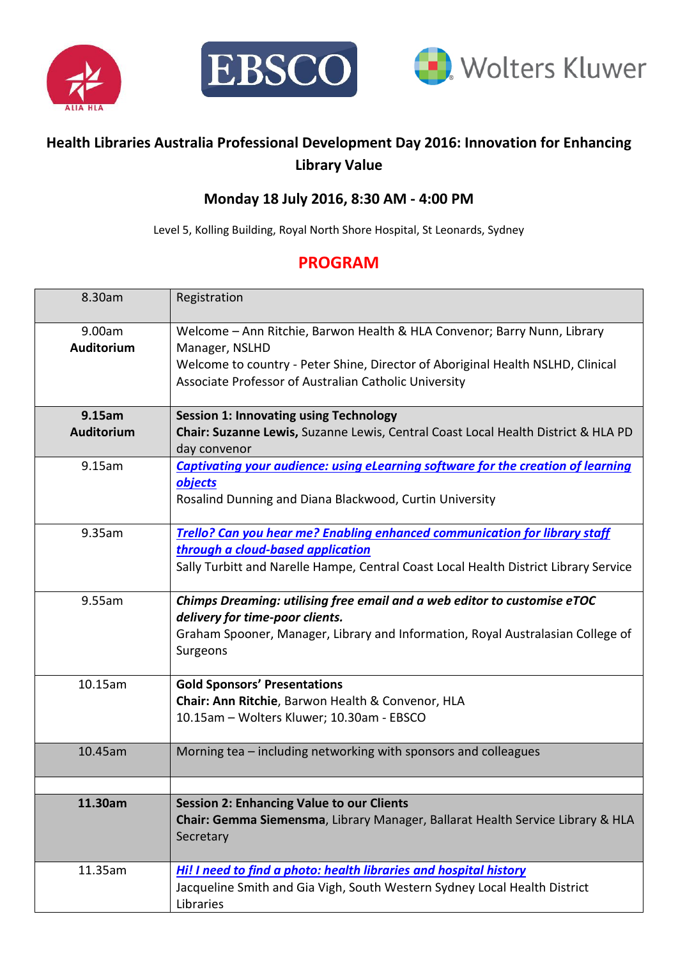





## **Health Libraries Australia Professional Development Day 2016: Innovation for Enhancing Library Value**

## **Monday 18 July 2016, 8:30 AM - 4:00 PM**

Level 5, Kolling Building, Royal North Shore Hospital, St Leonards, Sydney

## **PROGRAM**

| 8.30am               | Registration                                                                                                                                                                                                                           |
|----------------------|----------------------------------------------------------------------------------------------------------------------------------------------------------------------------------------------------------------------------------------|
| 9.00am<br>Auditorium | Welcome - Ann Ritchie, Barwon Health & HLA Convenor; Barry Nunn, Library<br>Manager, NSLHD<br>Welcome to country - Peter Shine, Director of Aboriginal Health NSLHD, Clinical<br>Associate Professor of Australian Catholic University |
| 9.15am               | <b>Session 1: Innovating using Technology</b>                                                                                                                                                                                          |
| Auditorium           | Chair: Suzanne Lewis, Suzanne Lewis, Central Coast Local Health District & HLA PD<br>day convenor                                                                                                                                      |
| 9.15am               | <b>Captivating your audience: using eLearning software for the creation of learning</b><br>objects<br>Rosalind Dunning and Diana Blackwood, Curtin University                                                                          |
| 9.35am               | Trello? Can you hear me? Enabling enhanced communication for library staff<br>through a cloud-based application<br>Sally Turbitt and Narelle Hampe, Central Coast Local Health District Library Service                                |
| 9.55am               | Chimps Dreaming: utilising free email and a web editor to customise eTOC<br>delivery for time-poor clients.<br>Graham Spooner, Manager, Library and Information, Royal Australasian College of<br>Surgeons                             |
| 10.15am              | <b>Gold Sponsors' Presentations</b><br>Chair: Ann Ritchie, Barwon Health & Convenor, HLA<br>10.15am - Wolters Kluwer; 10.30am - EBSCO                                                                                                  |
| 10.45am              | Morning tea – including networking with sponsors and colleagues                                                                                                                                                                        |
| 11.30am              | <b>Session 2: Enhancing Value to our Clients</b><br>Chair: Gemma Siemensma, Library Manager, Ballarat Health Service Library & HLA<br>Secretary                                                                                        |
| 11.35am              | Hi! I need to find a photo: health libraries and hospital history<br>Jacqueline Smith and Gia Vigh, South Western Sydney Local Health District<br>Libraries                                                                            |